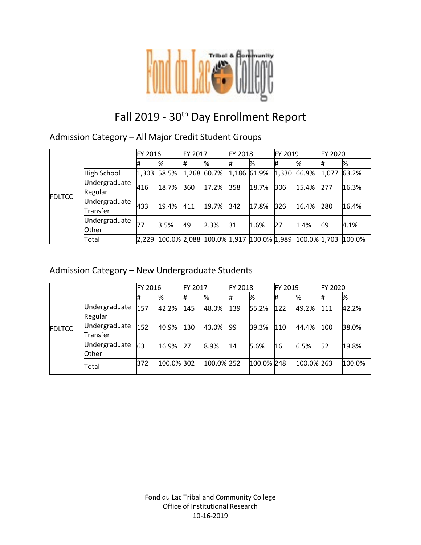

# Fall 2019 - 30<sup>th</sup> Day Enrollment Report

### Admission Category – All Major Credit Student Groups

|               |                           | FY 2016 |       | <b>FY 2017</b> |               | FY 2018     |                                        | FY 2019 |                 | FY 2020 |        |
|---------------|---------------------------|---------|-------|----------------|---------------|-------------|----------------------------------------|---------|-----------------|---------|--------|
| <b>FDLTCC</b> |                           | 11      | %     | #              | %             | #           | %                                      |         | %               | #       | %      |
|               | High School               | 1,303   | 58.5% |                | $1,268$ 60.7% | 1,186 61.9% |                                        | 1,330   | 66.9%           | 1,077   | 63.2%  |
|               | Undergraduate<br>Regular  | 416     | 18.7% | 360            | 17.2%         | 358         | 18.7%                                  | 306     | 15.4%           | 277     | 16.3%  |
|               | Undergraduate<br>Transfer | 433     | 19.4% | 411            | 19.7%         | $342$       | 17.8%                                  | 326     | 16.4%           | 280     | 16.4%  |
|               | Undergraduate<br>Other    |         | 3.5%  | 49             | 2.3%          | 31          | 1.6%                                   | 27      | 1.4%            | 69      | 4.1%   |
|               | Total                     | 2,229   |       |                |               |             | 100.0% 2,088 100.0% 1,917 100.0% 1,989 |         | $100.0\%$ 1,703 |         | 100.0% |

### Admission Category – New Undergraduate Students

|               |                           | FY 2016 |            | <b>FY 2017</b> |            | FY 2018 |            | FY 2019 |            | FY 2020 |        |
|---------------|---------------------------|---------|------------|----------------|------------|---------|------------|---------|------------|---------|--------|
| <b>FDLTCC</b> |                           |         | %          | #              | %          | #       | %          | ₩       | %          | #       | %      |
|               | Undergraduate<br>Regular  | 157     | 42.2%      | 145            | 48.0%      | 139     | 55.2%      | 122     | 49.2%      | 111     | 42.2%  |
|               | Undergraduate<br>Transfer | 152     | 40.9%      | 130            | 43.0%      | 99      | 39.3%      | 110     | 44.4%      | 100     | 38.0%  |
|               | Undergraduate<br>Other    | 63      | 16.9%      | 27             | 8.9%       | 14      | 5.6%       | 16      | 6.5%       | 52      | 19.8%  |
|               | Total                     | 372     | 100.0% 302 |                | 100.0% 252 |         | 100.0% 248 |         | 100.0% 263 |         | 100.0% |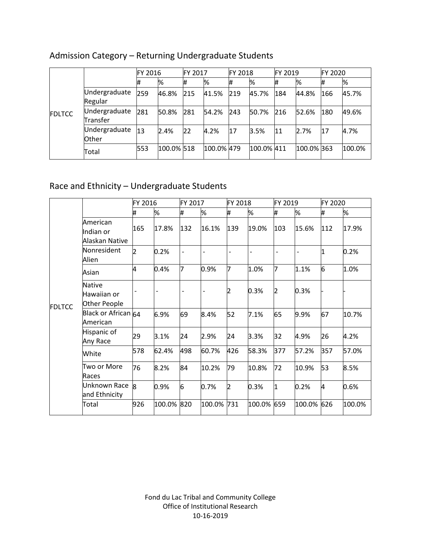|               |                               | FY 2016 |            | <b>FY 2017</b> |            | <b>FY 2018</b> |            | FY 2019 |            | FY 2020 |        |
|---------------|-------------------------------|---------|------------|----------------|------------|----------------|------------|---------|------------|---------|--------|
| <b>FDLTCC</b> |                               | #       | %          | #              | %          | #              | %          | #       | %          | #       | %      |
|               | Undergraduate<br>Regular      | 259     | 46.8%      | 215            | 41.5%      | 219            | 45.7%      | 184     | 44.8%      | 166     | 45.7%  |
|               | Undergraduate<br>Transfer     | 281     | 50.8%      | 281            | 54.2%      | 243            | 50.7%      | 216     | 52.6%      | 180     | 49.6%  |
|               | Undergraduate<br><b>Other</b> | 13      | 2.4%       | 22             | 4.2%       | 17             | 3.5%       | 11      | 2.7%       | 17      | 4.7%   |
|               | Total                         | 553     | 100.0% 518 |                | 100.0% 479 |                | 100.0% 411 |         | 100.0% 363 |         | 100.0% |

# Admission Category – Returning Undergraduate Students

# Race and Ethnicity – Undergraduate Students

|               |                                              | FY 2016        |        | FY 2017 |            | FY 2018 |        | FY 2019 |                          | FY 2020 |        |
|---------------|----------------------------------------------|----------------|--------|---------|------------|---------|--------|---------|--------------------------|---------|--------|
|               |                                              | #              | %      | #       | %          | #       | %      | #       | %                        | #       | %      |
| <b>FDLTCC</b> | American<br>Indian or<br>Alaskan Native      | 165            | 17.8%  | 132     | 16.1%      | 139     | 19.0%  | 103     | 15.6%                    | 112     | 17.9%  |
|               | Nonresident<br>Alien                         | $\overline{2}$ | 0.2%   |         |            |         |        |         | $\overline{\phantom{a}}$ | 1       | 0.2%   |
|               | Asian                                        | 4              | 0.4%   | 7       | 0.9%       | 7       | 1.0%   | 7       | 1.1%                     | 6       | 1.0%   |
|               | <b>Native</b><br>Hawaiian or<br>Other People |                |        |         |            | 2       | 0.3%   | 2       | 0.3%                     |         |        |
|               | Black or African 64<br>American              |                | 6.9%   | 69      | 8.4%       | 52      | 7.1%   | 65      | 9.9%                     | 67      | 10.7%  |
|               | Hispanic of<br>Any Race                      | 29             | 3.1%   | 24      | 2.9%       | 24      | 3.3%   | 32      | 4.9%                     | 26      | 4.2%   |
|               | White                                        | 578            | 62.4%  | 498     | 60.7%      | 426     | 58.3%  | 377     | 57.2%                    | 357     | 57.0%  |
|               | Two or More<br>Races                         | 76             | 8.2%   | 84      | 10.2%      | 79      | 10.8%  | 72      | 10.9%                    | 53      | 8.5%   |
|               | Unknown Race<br>and Ethnicity                | l8             | 0.9%   | 6       | 0.7%       | 2       | 0.3%   | I1      | 0.2%                     | 4       | 0.6%   |
|               | Total                                        | 926            | 100.0% | 820     | 100.0% 731 |         | 100.0% | 659     | 100.0% 626               |         | 100.0% |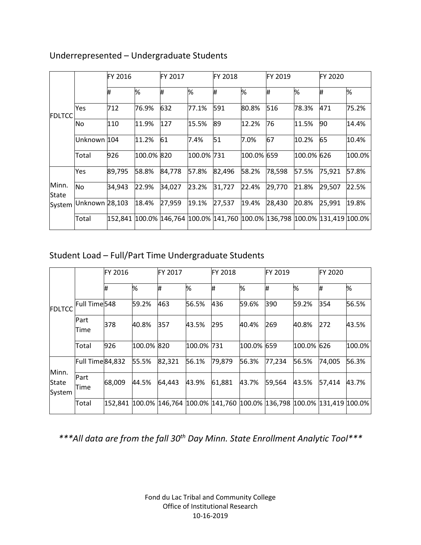|                |                | FY 2016 |            | FY 2017 |            | <b>FY 2018</b> |            | <b>FY 2019</b>                                                                      |            | FY 2020 |        |
|----------------|----------------|---------|------------|---------|------------|----------------|------------|-------------------------------------------------------------------------------------|------------|---------|--------|
|                |                | Ħ,      | %          | #       | %          | ₩              | %          | ₩                                                                                   | %          | #       | %      |
| <b>IFDLTCC</b> | Yes            | 712     | 76.9%      | 632     | 77.1%      | 591            | 80.8%      | 516                                                                                 | 78.3%      | 471     | 75.2%  |
|                | No.            | 110     | 11.9%      | 127     | 15.5%      | 89             | 12.2%      | 76                                                                                  | 11.5%      | 90      | 14.4%  |
|                | Unknown 104    |         | 11.2%      | 61      | 7.4%       | 51             | 7.0%       | 67                                                                                  | 10.2%      | 65      | 10.4%  |
|                | Total          | 926     | 100.0% 820 |         | 100.0% 731 |                | 100.0% 659 |                                                                                     | 100.0% 626 |         | 100.0% |
|                | Yes            | 89,795  | 58.8%      | 84,778  | 57.8%      | 82,496         | 58.2%      | 78,598                                                                              | 57.5%      | 75,921  | 57.8%  |
| Minn.<br>State | <b>No</b>      | 34,943  | 22.9%      | 34,027  | 23.2%      | 31,727         | 22.4%      | 29,770                                                                              | 21.8%      | 29,507  | 22.5%  |
| System         | Unknown 28,103 |         | 18.4%      | 27,959  | 19.1%      | 27,537         | 19.4%      | 28,430                                                                              | 20.8%      | 25,991  | 19.8%  |
|                | Total          |         |            |         |            |                |            | 152,841  100.0%  146,764  100.0%  141,760  100.0%  136,798  100.0%  131,419  100.0% |            |         |        |

### Underrepresented – Undergraduate Students

# Student Load – Full/Part Time Undergraduate Students

|                          |                 | FY 2016 |            | FY 2017 |            | FY 2018                                                                    |            | FY 2019 |        | FY 2020 |        |
|--------------------------|-----------------|---------|------------|---------|------------|----------------------------------------------------------------------------|------------|---------|--------|---------|--------|
|                          |                 | #       | %          | #       | %          | #                                                                          | %          | #       | %      | #       | %      |
| <b>FDLTCC</b>            | Full Time 548   |         | 59.2%      | 463     | 56.5%      | 436                                                                        | 59.6%      | 390     | 59.2%  | 354     | 56.5%  |
|                          | Part<br>Time    | 378     | 40.8%      | 357     | 43.5%      | 295                                                                        | 40.4%      | 269     | 40.8%  | 272     | 43.5%  |
|                          | Total           | 926     | 100.0% 820 |         | 100.0% 731 |                                                                            | 100.0% 659 |         | 100.0% | 626     | 100.0% |
|                          | Full Time84,832 |         | 55.5%      | 82,321  | 56.1%      | 79,879                                                                     | 56.3%      | 77,234  | 56.5%  | 74,005  | 56.3%  |
| Minn.<br>State<br>System | Part<br>Time    | 68,009  | 44.5%      | 64,443  | 43.9%      | 61,881                                                                     | 43.7%      | 59,564  | 43.5%  | 57,414  | 43.7%  |
|                          | Total           |         |            |         |            | 152,841 100.0% 146,764 100.0% 141,760 100.0% 136,798 100.0% 131,419 100.0% |            |         |        |         |        |

*\*\*\*All data are from the fall 30th Day Minn. State Enrollment Analytic Tool\*\*\**